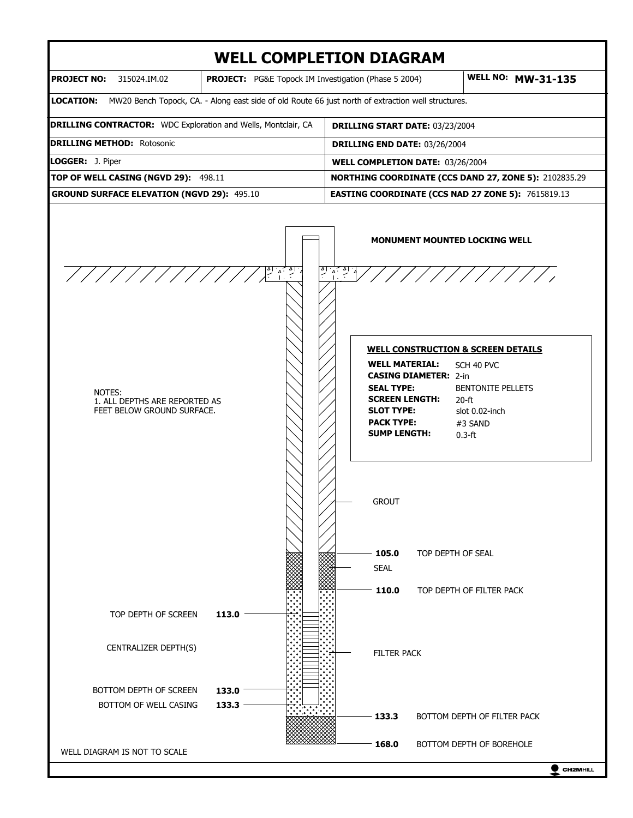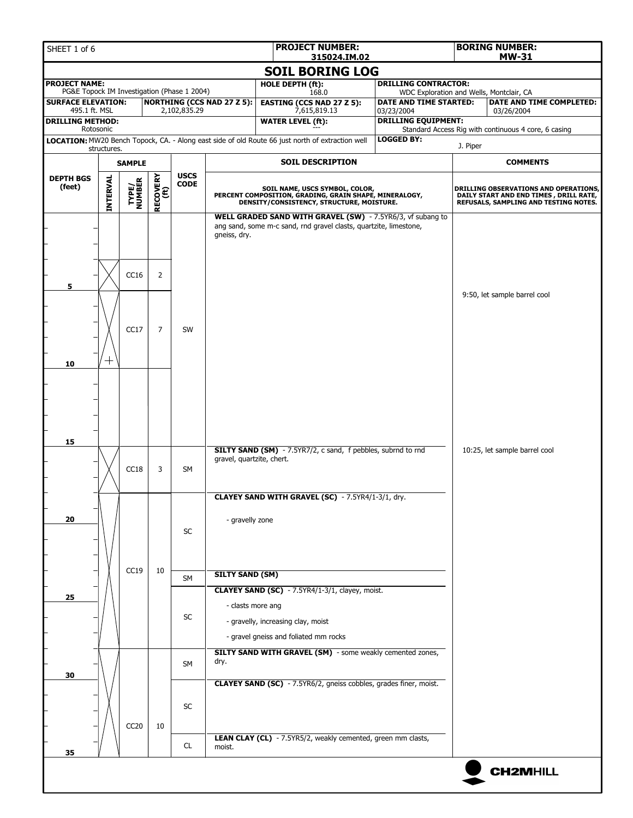| SHEET 1 of 6                                                        |                 |                         |                  |                            |                                   | <b>PROJECT NUMBER:</b><br>315024.IM.02                                                                                                |                                          | <b>BORING NUMBER:</b><br><b>MW-31</b>                                                                                    |                                                      |  |
|---------------------------------------------------------------------|-----------------|-------------------------|------------------|----------------------------|-----------------------------------|---------------------------------------------------------------------------------------------------------------------------------------|------------------------------------------|--------------------------------------------------------------------------------------------------------------------------|------------------------------------------------------|--|
|                                                                     |                 |                         |                  |                            |                                   | <b>SOIL BORING LOG</b>                                                                                                                |                                          |                                                                                                                          |                                                      |  |
| <b>PROJECT NAME:</b><br>PG&E Topock IM Investigation (Phase 1 2004) |                 |                         |                  |                            |                                   | <b>DRILLING CONTRACTOR:</b><br>HOLE DEPTH (ft):<br>WDC Exploration and Wells, Montclair, CA                                           |                                          |                                                                                                                          |                                                      |  |
| <b>SURFACE ELEVATION:</b>                                           |                 |                         |                  |                            | <b>NORTHING (CCS NAD 27 Z 5):</b> | 168.0<br><b>EASTING (CCS NAD 27 Z 5):</b>                                                                                             | DATE AND TIME STARTED:                   | <b>DATE AND TIME COMPLETED:</b>                                                                                          |                                                      |  |
| 495.1 ft. MSL<br><b>DRILLING METHOD:</b>                            |                 |                         |                  | 2,102,835.29               |                                   | 7,615,819.13<br><b>WATER LEVEL (ft):</b>                                                                                              | 03/23/2004<br><b>DRILLING EQUIPMENT:</b> |                                                                                                                          | 03/26/2004                                           |  |
|                                                                     | Rotosonic       |                         |                  |                            |                                   | LOCATION: MW20 Bench Topock, CA. - Along east side of old Route 66 just north of extraction well                                      | <b>LOGGED BY:</b>                        |                                                                                                                          | Standard Access Rig with continuous 4 core, 6 casing |  |
|                                                                     | structures.     |                         |                  |                            |                                   |                                                                                                                                       |                                          | J. Piper                                                                                                                 |                                                      |  |
|                                                                     |                 | <b>SAMPLE</b>           |                  |                            |                                   | <b>SOIL DESCRIPTION</b>                                                                                                               |                                          |                                                                                                                          | <b>COMMENTS</b>                                      |  |
| <b>DEPTH BGS</b><br>(feet)                                          | <b>INTERVAL</b> | <b>TYPE/<br/>NUMBER</b> | RECOVERY<br>(ft) | <b>USCS</b><br><b>CODE</b> |                                   | SOIL NAME, USCS SYMBOL, COLOR,<br>PERCENT COMPOSITION, GRADING, GRAIN SHAPE, MINERALOGY,<br>DENSITY/CONSISTENCY, STRUCTURE, MOISTURE. |                                          | DRILLING OBSERVATIONS AND OPERATIONS,<br>DAILY START AND END TIMES, DRILL RATE,<br>REFUSALS, SAMPLING AND TESTING NOTES. |                                                      |  |
| 5                                                                   |                 | CC16                    | $\overline{2}$   |                            | gneiss, dry.                      | WELL GRADED SAND WITH GRAVEL (SW) - 7.5YR6/3, vf subang to<br>ang sand, some m-c sand, rnd gravel clasts, quartzite, limestone,       |                                          |                                                                                                                          |                                                      |  |
| 10                                                                  | ┭               | CC17                    | $\overline{7}$   | SW                         |                                   |                                                                                                                                       |                                          |                                                                                                                          | 9:50, let sample barrel cool                         |  |
| 15                                                                  |                 |                         |                  |                            |                                   |                                                                                                                                       |                                          |                                                                                                                          |                                                      |  |
|                                                                     |                 | CC18                    | 3                | <b>SM</b>                  | gravel, quartzite, chert.         | SILTY SAND (SM) - 7.5YR7/2, c sand, f pebbles, subrnd to rnd<br><b>CLAYEY SAND WITH GRAVEL (SC)</b> - 7.5YR4/1-3/1, dry.              |                                          |                                                                                                                          | 10:25, let sample barrel cool                        |  |
| 20                                                                  |                 |                         |                  | <b>SC</b>                  | - gravelly zone                   |                                                                                                                                       |                                          |                                                                                                                          |                                                      |  |
|                                                                     |                 | CC19                    | 10               | SM                         | <b>SILTY SAND (SM)</b>            |                                                                                                                                       |                                          |                                                                                                                          |                                                      |  |
| 25                                                                  |                 |                         |                  | SC                         | - clasts more ang                 | CLAYEY SAND (SC) - 7.5YR4/1-3/1, clayey, moist.<br>- gravelly, increasing clay, moist<br>- gravel gneiss and foliated mm rocks        |                                          |                                                                                                                          |                                                      |  |
| 30                                                                  |                 |                         |                  | SM                         | dry.                              | SILTY SAND WITH GRAVEL (SM) - some weakly cemented zones,                                                                             |                                          |                                                                                                                          |                                                      |  |
|                                                                     |                 | CC <sub>20</sub>        | 10               | SC                         |                                   | <b>CLAYEY SAND (SC)</b> - 7.5YR6/2, gneiss cobbles, grades finer, moist.                                                              |                                          |                                                                                                                          |                                                      |  |
| 35                                                                  |                 |                         |                  | CL                         | moist.                            | LEAN CLAY (CL) - 7.5YR5/2, weakly cemented, green mm clasts,                                                                          |                                          |                                                                                                                          |                                                      |  |
|                                                                     |                 |                         |                  |                            |                                   |                                                                                                                                       |                                          |                                                                                                                          | <b>CH2MHILL</b>                                      |  |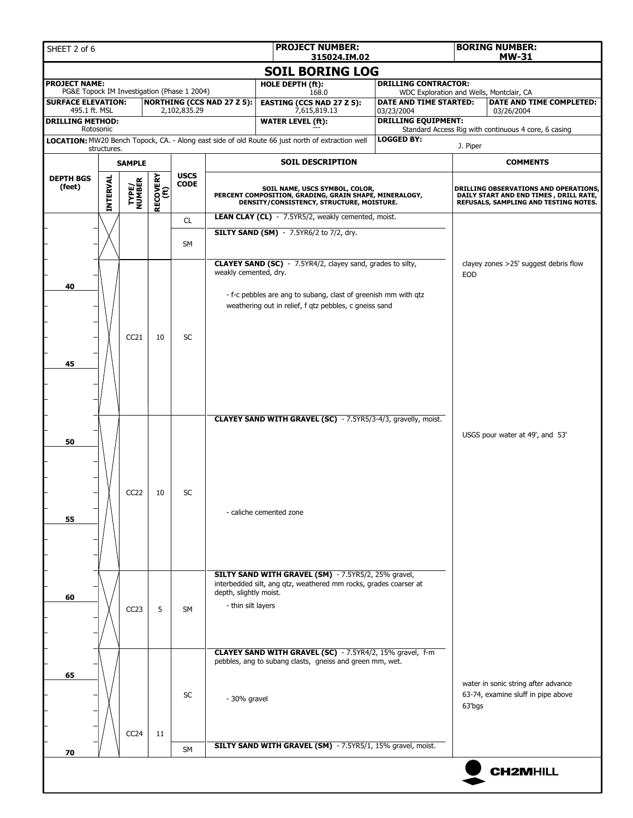| SHEET 2 of 6                                                        |                 |                         |                  |                            |                                              | <b>PROJECT NUMBER:</b><br>315024.IM.02                                                                                                                                                        |                                                                                                                                       |                                          | <b>BORING NUMBER:</b><br><b>MW-31</b>                                   |                                                                                                                           |  |  |
|---------------------------------------------------------------------|-----------------|-------------------------|------------------|----------------------------|----------------------------------------------|-----------------------------------------------------------------------------------------------------------------------------------------------------------------------------------------------|---------------------------------------------------------------------------------------------------------------------------------------|------------------------------------------|-------------------------------------------------------------------------|---------------------------------------------------------------------------------------------------------------------------|--|--|
|                                                                     |                 |                         |                  |                            |                                              | <b>SOIL BORING LOG</b>                                                                                                                                                                        |                                                                                                                                       |                                          |                                                                         |                                                                                                                           |  |  |
| <b>PROJECT NAME:</b><br>PG&E Topock IM Investigation (Phase 1 2004) |                 |                         |                  |                            |                                              | HOLE DEPTH (ft):                                                                                                                                                                              |                                                                                                                                       |                                          | <b>DRILLING CONTRACTOR:</b><br>WDC Exploration and Wells, Montclair, CA |                                                                                                                           |  |  |
| <b>SURFACE ELEVATION:</b>                                           |                 |                         |                  |                            | <b>NORTHING (CCS NAD 27 Z 5):</b>            | 168.0<br><b>EASTING (CCS NAD 27 Z 5):</b>                                                                                                                                                     |                                                                                                                                       | DATE AND TIME STARTED:                   |                                                                         | DATE AND TIME COMPLETED:                                                                                                  |  |  |
| 495.1 ft. MSL<br><b>DRILLING METHOD:</b>                            |                 |                         |                  | 2,102,835.29               |                                              | 7,615,819.13<br><b>WATER LEVEL (ft):</b>                                                                                                                                                      |                                                                                                                                       | 03/23/2004<br><b>DRILLING EQUIPMENT:</b> |                                                                         | 03/26/2004                                                                                                                |  |  |
| Rotosonic                                                           |                 |                         |                  |                            |                                              | LOCATION: MW20 Bench Topock, CA. - Along east side of old Route 66 just north of extraction well                                                                                              |                                                                                                                                       | <b>LOGGED BY:</b>                        |                                                                         | Standard Access Rig with continuous 4 core, 6 casing                                                                      |  |  |
|                                                                     | structures.     |                         |                  |                            |                                              |                                                                                                                                                                                               |                                                                                                                                       |                                          | J. Piper                                                                |                                                                                                                           |  |  |
|                                                                     |                 | <b>SAMPLE</b>           |                  |                            |                                              | <b>SOIL DESCRIPTION</b>                                                                                                                                                                       |                                                                                                                                       |                                          |                                                                         | <b>COMMENTS</b>                                                                                                           |  |  |
| <b>DEPTH BGS</b><br>(feet)                                          | <b>INTERVAL</b> | <b>TYPE/<br/>NUMBER</b> | RECOVERY<br>(ft) | <b>USCS</b><br><b>CODE</b> |                                              |                                                                                                                                                                                               | SOIL NAME, USCS SYMBOL, COLOR,<br>PERCENT COMPOSITION, GRADING, GRAIN SHAPE, MINERALOGY,<br>DENSITY/CONSISTENCY, STRUCTURE, MOISTURE. |                                          |                                                                         | DRILLING OBSERVATIONS AND OPERATIONS,<br>DAILY START AND END TIMES , DRILL RATE,<br>REFUSALS, SAMPLING AND TESTING NOTES. |  |  |
|                                                                     |                 |                         |                  | CL                         |                                              | LEAN CLAY (CL) - 7.5YR5/2, weakly cemented, moist.                                                                                                                                            |                                                                                                                                       |                                          |                                                                         |                                                                                                                           |  |  |
|                                                                     |                 |                         |                  | SM                         |                                              | <b>SILTY SAND (SM)</b> - 7.5YR6/2 to 7/2, dry.                                                                                                                                                |                                                                                                                                       |                                          |                                                                         |                                                                                                                           |  |  |
| 40                                                                  |                 |                         |                  |                            | weakly cemented, dry.                        | <b>CLAYEY SAND (SC)</b> - 7.5YR4/2, clayey sand, grades to silty,<br>- f-c pebbles are ang to subang, clast of greenish mm with qtz<br>weathering out in relief, f qtz pebbles, c gneiss sand |                                                                                                                                       | <b>EOD</b>                               | clayey zones >25' suggest debris flow                                   |                                                                                                                           |  |  |
| 45                                                                  |                 | CC21                    | 10               | <b>SC</b>                  |                                              |                                                                                                                                                                                               |                                                                                                                                       |                                          |                                                                         |                                                                                                                           |  |  |
| 50                                                                  |                 |                         |                  |                            |                                              | CLAYEY SAND WITH GRAVEL (SC) - 7.5YR5/3-4/3, gravelly, moist.                                                                                                                                 |                                                                                                                                       |                                          |                                                                         | USGS pour water at 49', and 53'                                                                                           |  |  |
| 55                                                                  |                 | CC <sub>22</sub>        | 10               | SC                         |                                              | - caliche cemented zone                                                                                                                                                                       |                                                                                                                                       |                                          |                                                                         |                                                                                                                           |  |  |
| 60                                                                  |                 | CC <sub>23</sub>        | 5                | <b>SM</b>                  | depth, slightly moist.<br>- thin silt layers | SILTY SAND WITH GRAVEL (SM) - 7.5YR5/2, 25% gravel,<br>interbedded silt, ang qtz, weathered mm rocks, grades coarser at                                                                       |                                                                                                                                       |                                          |                                                                         |                                                                                                                           |  |  |
| 65                                                                  |                 |                         |                  |                            |                                              | CLAYEY SAND WITH GRAVEL (SC) - 7.5YR4/2, 15% gravel, f-m<br>pebbles, ang to subang clasts, gneiss and green mm, wet.                                                                          |                                                                                                                                       |                                          |                                                                         | water in sonic string after advance                                                                                       |  |  |
|                                                                     |                 | CC24                    | 11               | SC<br>SM                   | - 30% gravel                                 | SILTY SAND WITH GRAVEL (SM) - 7.5YR5/1, 15% gravel, moist.                                                                                                                                    |                                                                                                                                       |                                          | 63'bgs                                                                  | 63-74, examine sluff in pipe above                                                                                        |  |  |
| 70                                                                  |                 |                         |                  |                            |                                              |                                                                                                                                                                                               |                                                                                                                                       |                                          |                                                                         |                                                                                                                           |  |  |
|                                                                     |                 |                         |                  |                            |                                              |                                                                                                                                                                                               |                                                                                                                                       |                                          |                                                                         | <b>CH2MHILL</b>                                                                                                           |  |  |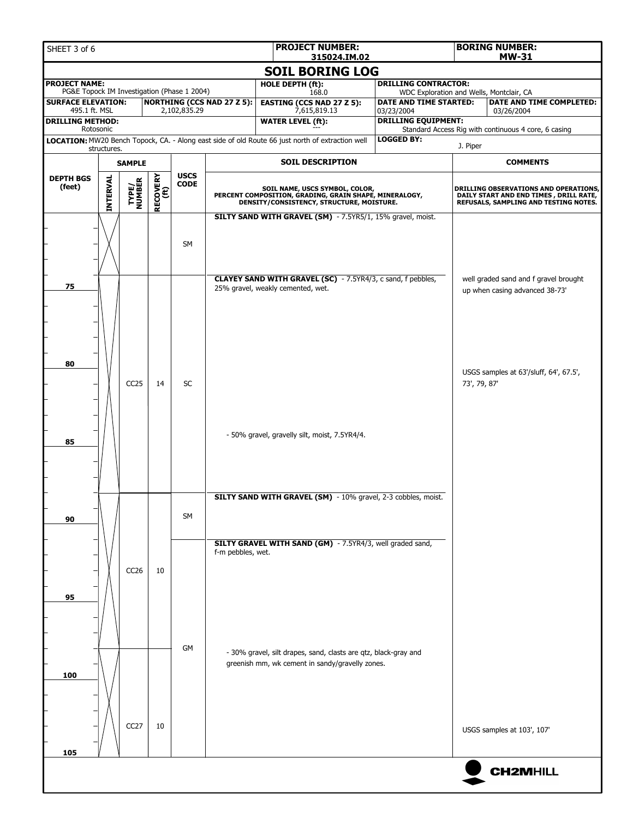| SHEET 3 of 6                                                             |             |                         |                  |                            |                                   | <b>PROJECT NUMBER:</b><br>315024.IM.02                                                                                                |                                                                    |                                          |                                       | <b>BORING NUMBER:</b><br><b>MW-31</b>                                            |  |  |
|--------------------------------------------------------------------------|-------------|-------------------------|------------------|----------------------------|-----------------------------------|---------------------------------------------------------------------------------------------------------------------------------------|--------------------------------------------------------------------|------------------------------------------|---------------------------------------|----------------------------------------------------------------------------------|--|--|
|                                                                          |             |                         |                  |                            |                                   | <b>SOIL BORING LOG</b>                                                                                                                |                                                                    |                                          |                                       |                                                                                  |  |  |
| <b>PROJECT NAME:</b>                                                     |             |                         |                  |                            |                                   | <b>HOLE DEPTH (ft):</b>                                                                                                               | <b>DRILLING CONTRACTOR:</b>                                        |                                          |                                       |                                                                                  |  |  |
| PG&E Topock IM Investigation (Phase 1 2004)<br><b>SURFACE ELEVATION:</b> |             |                         |                  |                            | <b>NORTHING (CCS NAD 27 Z 5):</b> | 168.0<br><b>EASTING (CCS NAD 27 Z 5):</b>                                                                                             | WDC Exploration and Wells, Montclair, CA<br>DATE AND TIME STARTED: |                                          |                                       | DATE AND TIME COMPLETED:                                                         |  |  |
| 495.1 ft. MSL<br><b>DRILLING METHOD:</b>                                 |             |                         |                  | 2,102,835.29               |                                   | 7,615,819.13<br><b>WATER LEVEL (ft):</b>                                                                                              |                                                                    | 03/23/2004<br><b>DRILLING EQUIPMENT:</b> |                                       | 03/26/2004                                                                       |  |  |
| Rotosonic                                                                |             |                         |                  |                            |                                   |                                                                                                                                       |                                                                    |                                          |                                       | Standard Access Rig with continuous 4 core, 6 casing                             |  |  |
|                                                                          | structures. |                         |                  |                            |                                   | LOCATION: MW20 Bench Topock, CA. - Along east side of old Route 66 just north of extraction well                                      |                                                                    | <b>LOGGED BY:</b>                        | J. Piper                              |                                                                                  |  |  |
|                                                                          |             | <b>SAMPLE</b>           |                  |                            |                                   | <b>SOIL DESCRIPTION</b>                                                                                                               |                                                                    |                                          |                                       | <b>COMMENTS</b>                                                                  |  |  |
| <b>DEPTH BGS</b>                                                         |             |                         |                  | <b>USCS</b><br><b>CODE</b> |                                   |                                                                                                                                       |                                                                    |                                          |                                       |                                                                                  |  |  |
| (feet)                                                                   | INTERVAL    | <b>TYPE/<br/>NUMBER</b> | RECOVERY<br>(ft) |                            |                                   | SOIL NAME, USCS SYMBOL, COLOR,<br>PERCENT COMPOSITION, GRADING, GRAIN SHAPE, MINERALOGY,<br>DENSITY/CONSISTENCY, STRUCTURE, MOISTURE. |                                                                    |                                          |                                       | DRILLING OBSERVATIONS AND OPERATIONS,<br>DAILY START AND END TIMES , DRILL RATE, |  |  |
|                                                                          |             |                         |                  |                            |                                   | SILTY SAND WITH GRAVEL (SM) - 7.5YR5/1, 15% gravel, moist.                                                                            |                                                                    |                                          | REFUSALS, SAMPLING AND TESTING NOTES. |                                                                                  |  |  |
|                                                                          |             |                         |                  | SM                         |                                   | <b>CLAYEY SAND WITH GRAVEL (SC)</b> - 7.5YR4/3, c sand, f pebbles,                                                                    |                                                                    |                                          |                                       | well graded sand and f gravel brought                                            |  |  |
| 75<br>80                                                                 |             |                         |                  |                            |                                   | 25% gravel, weakly cemented, wet.                                                                                                     |                                                                    |                                          |                                       | up when casing advanced 38-73'                                                   |  |  |
| 85                                                                       |             | CC <sub>25</sub>        | 14               | SC                         |                                   | - 50% gravel, gravelly silt, moist, 7.5YR4/4.                                                                                         |                                                                    |                                          | 73', 79, 87'                          | USGS samples at 63'/sluff, 64', 67.5',                                           |  |  |
| 90                                                                       |             |                         |                  | SM                         | f-m pebbles, wet.                 | SILTY SAND WITH GRAVEL (SM) - 10% gravel, 2-3 cobbles, moist.<br>SILTY GRAVEL WITH SAND (GM) - 7.5YR4/3, well graded sand,            |                                                                    |                                          |                                       |                                                                                  |  |  |
| 95                                                                       |             | CC <sub>26</sub>        | 10               |                            |                                   |                                                                                                                                       |                                                                    |                                          |                                       |                                                                                  |  |  |
| 100                                                                      |             | CC <sub>27</sub>        | 10               | GM                         |                                   | - 30% gravel, silt drapes, sand, clasts are qtz, black-gray and<br>greenish mm, wk cement in sandy/gravelly zones.                    |                                                                    |                                          |                                       | USGS samples at 103', 107'                                                       |  |  |
|                                                                          |             |                         |                  |                            |                                   |                                                                                                                                       |                                                                    |                                          |                                       |                                                                                  |  |  |
| 105                                                                      |             |                         |                  |                            |                                   |                                                                                                                                       |                                                                    |                                          |                                       |                                                                                  |  |  |
|                                                                          |             |                         |                  |                            |                                   |                                                                                                                                       |                                                                    |                                          |                                       | <b>CH2MHILL</b>                                                                  |  |  |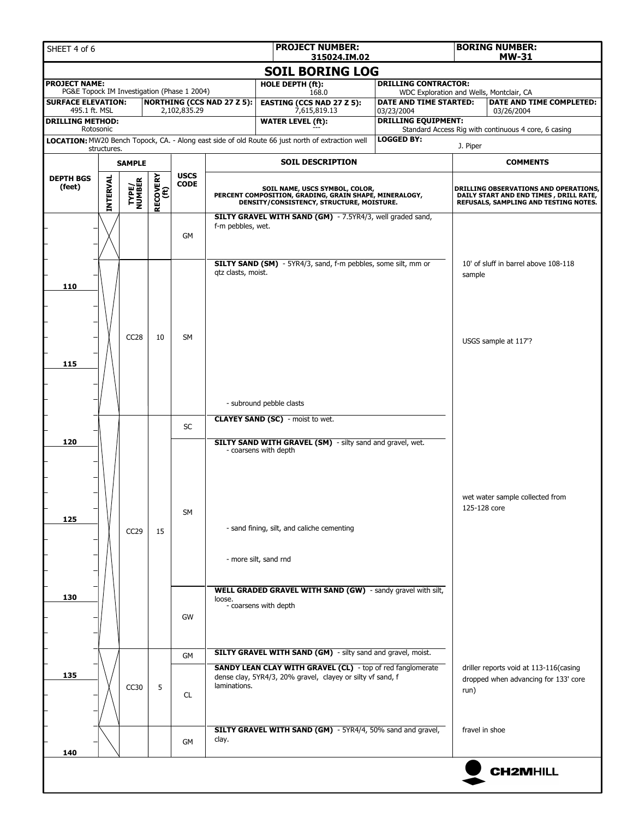| SHEET 4 of 6                                                                         |             |                  |    |                            |                                                                                                                                       | <b>PROJECT NUMBER:</b><br>315024.IM.02                                                                                   |                                          | <b>BORING NUMBER:</b><br><b>MW-31</b>                                                                                    |                                                      |  |                                            |  |                                                 |  |  |
|--------------------------------------------------------------------------------------|-------------|------------------|----|----------------------------|---------------------------------------------------------------------------------------------------------------------------------------|--------------------------------------------------------------------------------------------------------------------------|------------------------------------------|--------------------------------------------------------------------------------------------------------------------------|------------------------------------------------------|--|--------------------------------------------|--|-------------------------------------------------|--|--|
|                                                                                      |             |                  |    |                            |                                                                                                                                       | <b>SOIL BORING LOG</b>                                                                                                   |                                          |                                                                                                                          |                                                      |  |                                            |  |                                                 |  |  |
| <b>PROJECT NAME:</b><br>PG&E Topock IM Investigation (Phase 1 2004)                  |             |                  |    |                            |                                                                                                                                       | <b>HOLE DEPTH (ft):</b><br><b>DRILLING CONTRACTOR:</b><br>WDC Exploration and Wells, Montclair, CA                       |                                          |                                                                                                                          |                                                      |  |                                            |  |                                                 |  |  |
| <b>SURFACE ELEVATION:</b>                                                            |             |                  |    |                            | <b>NORTHING (CCS NAD 27 Z 5):</b>                                                                                                     | 168.0<br><b>EASTING (CCS NAD 27 Z 5):</b>                                                                                | DATE AND TIME STARTED:                   |                                                                                                                          | DATE AND TIME COMPLETED:                             |  |                                            |  |                                                 |  |  |
| 495.1 ft. MSL<br><b>DRILLING METHOD:</b>                                             |             |                  |    | 2,102,835.29               |                                                                                                                                       | 7,615,819.13<br><b>WATER LEVEL (ft):</b>                                                                                 | 03/23/2004<br><b>DRILLING EQUIPMENT:</b> |                                                                                                                          | 03/26/2004                                           |  |                                            |  |                                                 |  |  |
|                                                                                      | Rotosonic   |                  |    |                            |                                                                                                                                       |                                                                                                                          |                                          |                                                                                                                          | Standard Access Rig with continuous 4 core, 6 casing |  |                                            |  |                                                 |  |  |
|                                                                                      | structures. |                  |    |                            |                                                                                                                                       | LOCATION: MW20 Bench Topock, CA. - Along east side of old Route 66 just north of extraction well                         | <b>LOGGED BY:</b>                        | J. Piper                                                                                                                 |                                                      |  |                                            |  |                                                 |  |  |
|                                                                                      |             | <b>SAMPLE</b>    |    |                            |                                                                                                                                       | <b>SOIL DESCRIPTION</b>                                                                                                  |                                          | <b>COMMENTS</b>                                                                                                          |                                                      |  |                                            |  |                                                 |  |  |
| <b>RECOVERY</b><br>(ft)<br><b>DEPTH BGS</b><br>INTERVAL<br>TYPE/<br>NUMBER<br>(feet) |             |                  |    | <b>USCS</b><br><b>CODE</b> | SOIL NAME, USCS SYMBOL, COLOR,<br>PERCENT COMPOSITION, GRADING, GRAIN SHAPE, MINERALOGY,<br>DENSITY/CONSISTENCY, STRUCTURE, MOISTURE. |                                                                                                                          |                                          | DRILLING OBSERVATIONS AND OPERATIONS,<br>DAILY START AND END TIMES, DRILL RATE,<br>REFUSALS, SAMPLING AND TESTING NOTES. |                                                      |  |                                            |  |                                                 |  |  |
|                                                                                      |             |                  |    | <b>GM</b>                  | f-m pebbles, wet.                                                                                                                     | SILTY GRAVEL WITH SAND (GM) - 7.5YR4/3, well graded sand,                                                                |                                          |                                                                                                                          |                                                      |  |                                            |  |                                                 |  |  |
| 110                                                                                  |             |                  |    | <b>SM</b>                  | gtz clasts, moist.                                                                                                                    | <b>SILTY SAND (SM)</b> - 5YR4/3, sand, f-m pebbles, some silt, mm or                                                     |                                          | sample                                                                                                                   | 10' of sluff in barrel above 108-118                 |  |                                            |  |                                                 |  |  |
| 115                                                                                  |             | CC <sub>28</sub> | 10 |                            |                                                                                                                                       | - subround pebble clasts                                                                                                 |                                          |                                                                                                                          | USGS sample at 117'?                                 |  |                                            |  |                                                 |  |  |
|                                                                                      |             |                  |    |                            |                                                                                                                                       | <b>CLAYEY SAND (SC)</b> - moist to wet.                                                                                  |                                          |                                                                                                                          |                                                      |  |                                            |  |                                                 |  |  |
|                                                                                      |             |                  |    | <b>SC</b>                  |                                                                                                                                       |                                                                                                                          |                                          |                                                                                                                          |                                                      |  |                                            |  |                                                 |  |  |
| 120                                                                                  |             |                  |    |                            |                                                                                                                                       | <b>SILTY SAND WITH GRAVEL (SM)</b> - silty sand and gravel, wet.<br>- coarsens with depth                                |                                          |                                                                                                                          |                                                      |  |                                            |  |                                                 |  |  |
| 125                                                                                  |             | CC <sub>29</sub> | 15 |                            |                                                                                                                                       |                                                                                                                          |                                          |                                                                                                                          | SM                                                   |  | - sand fining, silt, and caliche cementing |  | wet water sample collected from<br>125-128 core |  |  |
|                                                                                      |             |                  |    |                            | - more silt, sand rnd<br>WELL GRADED GRAVEL WITH SAND (GW) - sandy gravel with silt,                                                  |                                                                                                                          |                                          |                                                                                                                          |                                                      |  |                                            |  |                                                 |  |  |
| 130                                                                                  |             |                  |    | GW                         | loose.                                                                                                                                | - coarsens with depth                                                                                                    |                                          |                                                                                                                          |                                                      |  |                                            |  |                                                 |  |  |
|                                                                                      |             |                  |    | <b>GM</b>                  |                                                                                                                                       | SILTY GRAVEL WITH SAND (GM) - silty sand and gravel, moist.                                                              |                                          |                                                                                                                          |                                                      |  |                                            |  |                                                 |  |  |
| 135                                                                                  |             | CC30             | 5  | CL.                        | laminations.                                                                                                                          | SANDY LEAN CLAY WITH GRAVEL (CL) - top of red fanglomerate<br>dense clay, 5YR4/3, 20% gravel, clayey or silty vf sand, f |                                          | driller reports void at 113-116(casing<br>dropped when advancing for 133' core<br>run)                                   |                                                      |  |                                            |  |                                                 |  |  |
| 140                                                                                  |             |                  |    | GM                         | clay.                                                                                                                                 | SILTY GRAVEL WITH SAND (GM) - 5YR4/4, 50% sand and gravel,                                                               |                                          | fravel in shoe                                                                                                           |                                                      |  |                                            |  |                                                 |  |  |
|                                                                                      |             |                  |    |                            |                                                                                                                                       |                                                                                                                          |                                          |                                                                                                                          | <b>CH2MHILL</b>                                      |  |                                            |  |                                                 |  |  |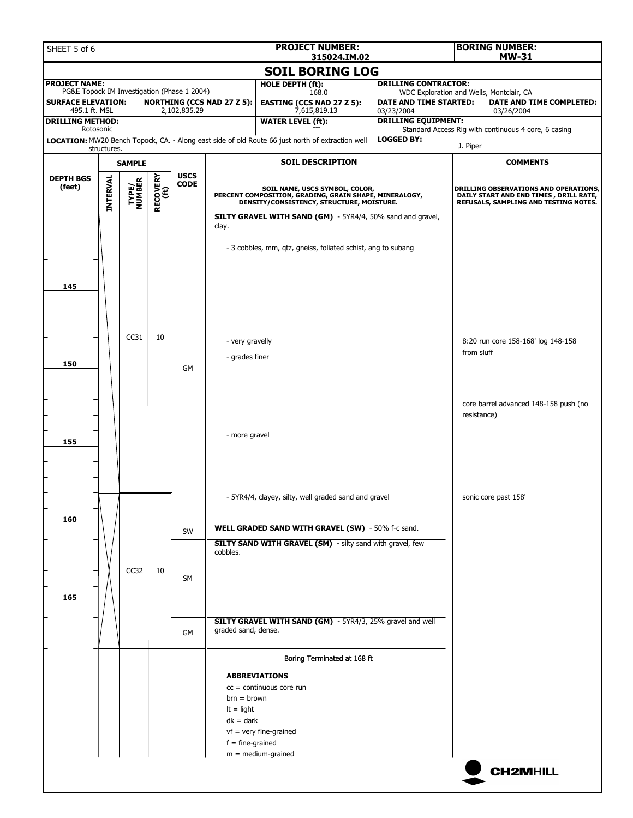| SHEET 5 of 6                                                             |                 |                         |                         |              |                                   | <b>PROJECT NUMBER:</b>                                                                                                                |                                                                    |             | <b>BORING NUMBER:</b>                                                                                                    |  |  |
|--------------------------------------------------------------------------|-----------------|-------------------------|-------------------------|--------------|-----------------------------------|---------------------------------------------------------------------------------------------------------------------------------------|--------------------------------------------------------------------|-------------|--------------------------------------------------------------------------------------------------------------------------|--|--|
|                                                                          |                 |                         |                         |              |                                   | 315024.IM.02<br><b>SOIL BORING LOG</b>                                                                                                |                                                                    |             | <b>MW-31</b>                                                                                                             |  |  |
| <b>PROJECT NAME:</b>                                                     |                 |                         |                         |              |                                   | HOLE DEPTH (ft):                                                                                                                      | <b>DRILLING CONTRACTOR:</b>                                        |             |                                                                                                                          |  |  |
| PG&E Topock IM Investigation (Phase 1 2004)<br><b>SURFACE ELEVATION:</b> |                 |                         |                         |              | <b>NORTHING (CCS NAD 27 Z 5):</b> | 168.0<br><b>EASTING (CCS NAD 27 Z 5):</b>                                                                                             | WDC Exploration and Wells, Montclair, CA<br>DATE AND TIME STARTED: |             | DATE AND TIME COMPLETED:                                                                                                 |  |  |
| 495.1 ft. MSL                                                            |                 |                         |                         | 2,102,835.29 |                                   | 7,615,819.13                                                                                                                          | 03/23/2004                                                         |             | 03/26/2004                                                                                                               |  |  |
| <b>DRILLING METHOD:</b><br>Rotosonic                                     |                 |                         |                         |              |                                   | <b>WATER LEVEL (ft):</b>                                                                                                              | <b>DRILLING EQUIPMENT:</b>                                         |             | Standard Access Rig with continuous 4 core, 6 casing                                                                     |  |  |
|                                                                          | structures.     |                         |                         |              |                                   | LOCATION: MW20 Bench Topock, CA. - Along east side of old Route 66 just north of extraction well                                      | <b>LOGGED BY:</b>                                                  | J. Piper    |                                                                                                                          |  |  |
|                                                                          |                 | <b>SAMPLE</b>           |                         |              |                                   | <b>SOIL DESCRIPTION</b>                                                                                                               |                                                                    |             | <b>COMMENTS</b>                                                                                                          |  |  |
| <b>DEPTH BGS</b>                                                         |                 |                         |                         | <b>USCS</b>  |                                   |                                                                                                                                       |                                                                    |             |                                                                                                                          |  |  |
| (feet)                                                                   | <b>INTERVAL</b> | <b>TYPE/<br/>NUMBER</b> | <b>RECOVERY</b><br>(ft) | <b>CODE</b>  |                                   | SOIL NAME, USCS SYMBOL, COLOR,<br>PERCENT COMPOSITION, GRADING, GRAIN SHAPE, MINERALOGY,<br>DENSITY/CONSISTENCY, STRUCTURE, MOISTURE. |                                                                    |             | DRILLING OBSERVATIONS AND OPERATIONS,<br>DAILY START AND END TIMES, DRILL RATE,<br>REFUSALS, SAMPLING AND TESTING NOTES. |  |  |
|                                                                          |                 |                         |                         |              |                                   | SILTY GRAVEL WITH SAND (GM) - 5YR4/4, 50% sand and gravel,                                                                            |                                                                    |             |                                                                                                                          |  |  |
|                                                                          |                 |                         |                         |              | clay.                             |                                                                                                                                       |                                                                    |             |                                                                                                                          |  |  |
|                                                                          |                 |                         |                         |              |                                   | - 3 cobbles, mm, qtz, gneiss, foliated schist, ang to subang                                                                          |                                                                    |             |                                                                                                                          |  |  |
|                                                                          |                 |                         |                         |              |                                   |                                                                                                                                       |                                                                    |             |                                                                                                                          |  |  |
| 145                                                                      |                 |                         |                         |              |                                   |                                                                                                                                       |                                                                    |             |                                                                                                                          |  |  |
|                                                                          |                 |                         |                         |              |                                   |                                                                                                                                       |                                                                    |             |                                                                                                                          |  |  |
|                                                                          |                 |                         |                         |              |                                   |                                                                                                                                       |                                                                    |             |                                                                                                                          |  |  |
|                                                                          |                 |                         |                         |              |                                   |                                                                                                                                       |                                                                    |             |                                                                                                                          |  |  |
|                                                                          |                 | CC31                    | 10                      |              |                                   | - very gravelly                                                                                                                       |                                                                    |             | 8:20 run core 158-168' log 148-158                                                                                       |  |  |
| 150                                                                      |                 |                         |                         |              | - grades finer                    |                                                                                                                                       | from sluff                                                         |             |                                                                                                                          |  |  |
|                                                                          |                 |                         |                         | <b>GM</b>    |                                   |                                                                                                                                       |                                                                    |             |                                                                                                                          |  |  |
|                                                                          |                 |                         |                         |              |                                   |                                                                                                                                       |                                                                    |             |                                                                                                                          |  |  |
|                                                                          |                 |                         |                         |              |                                   |                                                                                                                                       |                                                                    |             | core barrel advanced 148-158 push (no                                                                                    |  |  |
|                                                                          |                 |                         |                         |              |                                   |                                                                                                                                       |                                                                    | resistance) |                                                                                                                          |  |  |
|                                                                          |                 |                         |                         |              | - more gravel                     |                                                                                                                                       |                                                                    |             |                                                                                                                          |  |  |
| 155                                                                      |                 |                         |                         |              |                                   |                                                                                                                                       |                                                                    |             |                                                                                                                          |  |  |
|                                                                          |                 |                         |                         |              |                                   |                                                                                                                                       |                                                                    |             |                                                                                                                          |  |  |
|                                                                          |                 |                         |                         |              |                                   |                                                                                                                                       |                                                                    |             |                                                                                                                          |  |  |
|                                                                          |                 |                         |                         |              |                                   | - 5YR4/4, clayey, silty, well graded sand and gravel                                                                                  |                                                                    |             | sonic core past 158'                                                                                                     |  |  |
|                                                                          |                 |                         |                         |              |                                   |                                                                                                                                       |                                                                    |             |                                                                                                                          |  |  |
| 160                                                                      |                 |                         |                         | SW           |                                   | WELL GRADED SAND WITH GRAVEL (SW) - 50% f-c sand.                                                                                     |                                                                    |             |                                                                                                                          |  |  |
|                                                                          |                 |                         |                         |              |                                   | <b>SILTY SAND WITH GRAVEL (SM)</b> - silty sand with gravel, few                                                                      |                                                                    |             |                                                                                                                          |  |  |
|                                                                          |                 |                         |                         |              | cobbles.                          |                                                                                                                                       |                                                                    |             |                                                                                                                          |  |  |
|                                                                          |                 | CC32                    | 10                      | SM           |                                   |                                                                                                                                       |                                                                    |             |                                                                                                                          |  |  |
|                                                                          |                 |                         |                         |              |                                   |                                                                                                                                       |                                                                    |             |                                                                                                                          |  |  |
| 165                                                                      |                 |                         |                         |              |                                   |                                                                                                                                       |                                                                    |             |                                                                                                                          |  |  |
|                                                                          |                 |                         |                         |              |                                   | SILTY GRAVEL WITH SAND (GM) - 5YR4/3, 25% gravel and well                                                                             |                                                                    |             |                                                                                                                          |  |  |
|                                                                          |                 |                         |                         | GM           | graded sand, dense.               |                                                                                                                                       |                                                                    |             |                                                                                                                          |  |  |
|                                                                          |                 |                         |                         |              |                                   | Boring Terminated at 168 ft                                                                                                           |                                                                    |             |                                                                                                                          |  |  |
|                                                                          |                 |                         |                         |              |                                   | <b>ABBREVIATIONS</b>                                                                                                                  |                                                                    |             |                                                                                                                          |  |  |
|                                                                          |                 |                         |                         |              |                                   | $cc =$ continuous core run                                                                                                            |                                                                    |             |                                                                                                                          |  |  |
|                                                                          |                 |                         |                         |              | $brn = brown$                     |                                                                                                                                       |                                                                    |             |                                                                                                                          |  |  |
|                                                                          |                 |                         |                         |              | $It = light$                      |                                                                                                                                       |                                                                    |             |                                                                                                                          |  |  |
|                                                                          |                 |                         |                         |              | $dk = dark$                       |                                                                                                                                       |                                                                    |             |                                                                                                                          |  |  |
|                                                                          |                 |                         |                         |              | $f = fine-grained$                | $vf = very fine-grained$                                                                                                              |                                                                    |             |                                                                                                                          |  |  |
|                                                                          |                 |                         |                         |              |                                   | $m = medium-grained$                                                                                                                  |                                                                    |             |                                                                                                                          |  |  |
|                                                                          |                 |                         |                         |              |                                   |                                                                                                                                       |                                                                    |             |                                                                                                                          |  |  |
|                                                                          |                 |                         |                         |              |                                   |                                                                                                                                       |                                                                    |             | <b>CH2MHILL</b>                                                                                                          |  |  |
|                                                                          |                 |                         |                         |              |                                   |                                                                                                                                       |                                                                    |             |                                                                                                                          |  |  |